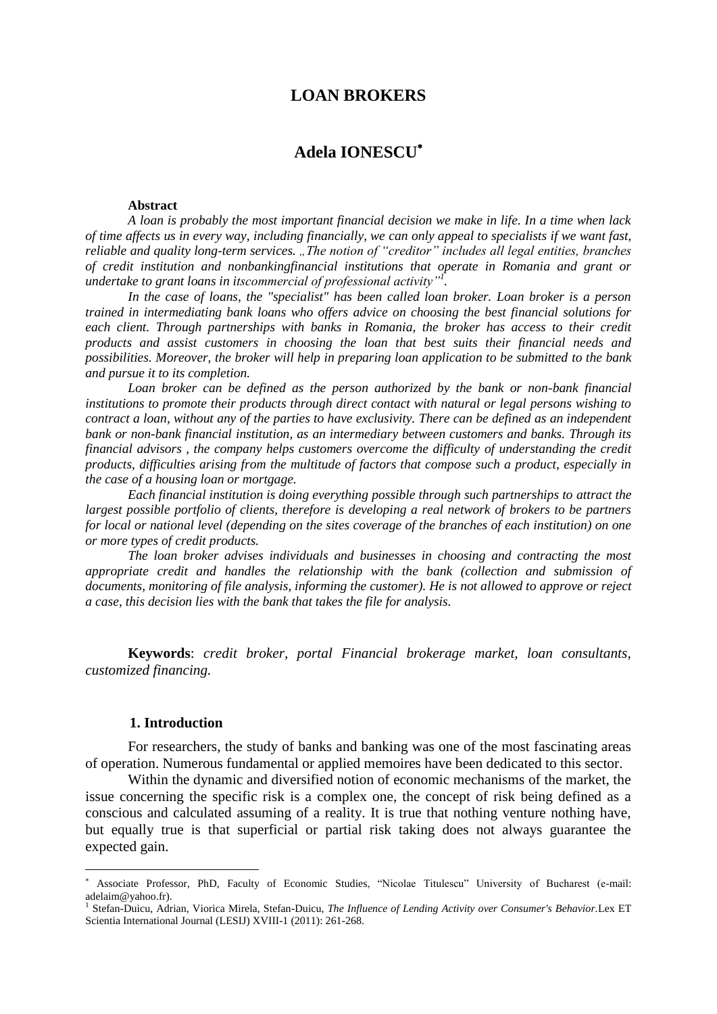## **LOAN BROKERS**

# **Adela IONESCU**

#### **Abstract**

*A loan is probably the most important financial decision we make in life. In a time when lack of time affects us in every way, including financially, we can only appeal to specialists if we want fast, reliable and quality long-term services.* "*The notion of "creditor" includes all legal entities, branches of credit institution and nonbankingfinancial institutions that operate in Romania and grant or undertake to grant loans in itscommercial of professional activity"<sup>1</sup> .*

*In the case of loans, the "specialist" has been called loan broker. Loan broker is a person trained in intermediating bank loans who offers advice on choosing the best financial solutions for each client. Through partnerships with banks in Romania, the broker has access to their credit products and assist customers in choosing the loan that best suits their financial needs and possibilities. Moreover, the broker will help in preparing loan application to be submitted to the bank and pursue it to its completion.*

Loan broker can be defined as the person authorized by the bank or non-bank financial *institutions to promote their products through direct contact with natural or legal persons wishing to contract a loan, without any of the parties to have exclusivity. There can be defined as an independent bank or non-bank financial institution, as an intermediary between customers and banks. Through its financial advisors , the company helps customers overcome the difficulty of understanding the credit products, difficulties arising from the multitude of factors that compose such a product, especially in the case of a housing loan or mortgage.*

*Each financial institution is doing everything possible through such partnerships to attract the largest possible portfolio of clients, therefore is developing a real network of brokers to be partners for local or national level (depending on the sites coverage of the branches of each institution) on one or more types of credit products.*

*The loan broker advises individuals and businesses in choosing and contracting the most appropriate credit and handles the relationship with the bank (collection and submission of documents, monitoring of file analysis, informing the customer). He is not allowed to approve or reject a case, this decision lies with the bank that takes the file for analysis.*

**Keywords**: *credit broker, portal Financial brokerage market, loan consultants, customized financing.*

#### **1. Introduction**

 $\overline{a}$ 

For researchers, the study of banks and banking was one of the most fascinating areas of operation. Numerous fundamental or applied memoires have been dedicated to this sector.

Within the dynamic and diversified notion of economic mechanisms of the market, the issue concerning the specific risk is a complex one, the concept of risk being defined as a conscious and calculated assuming of a reality. It is true that nothing venture nothing have, but equally true is that superficial or partial risk taking does not always guarantee the expected gain.

Associate Professor, PhD, Faculty of Economic Studies, "Nicolae Titulescu" University of Bucharest (e-mail: adelaim@yahoo.fr).

<sup>&</sup>lt;sup>1</sup> Stefan-Duicu, Adrian, Viorica Mirela, Stefan-Duicu, *The Influence of Lending Activity over Consumer's Behavior*.Lex ET Scientia International Journal (LESIJ) XVIII-1 (2011): 261-268.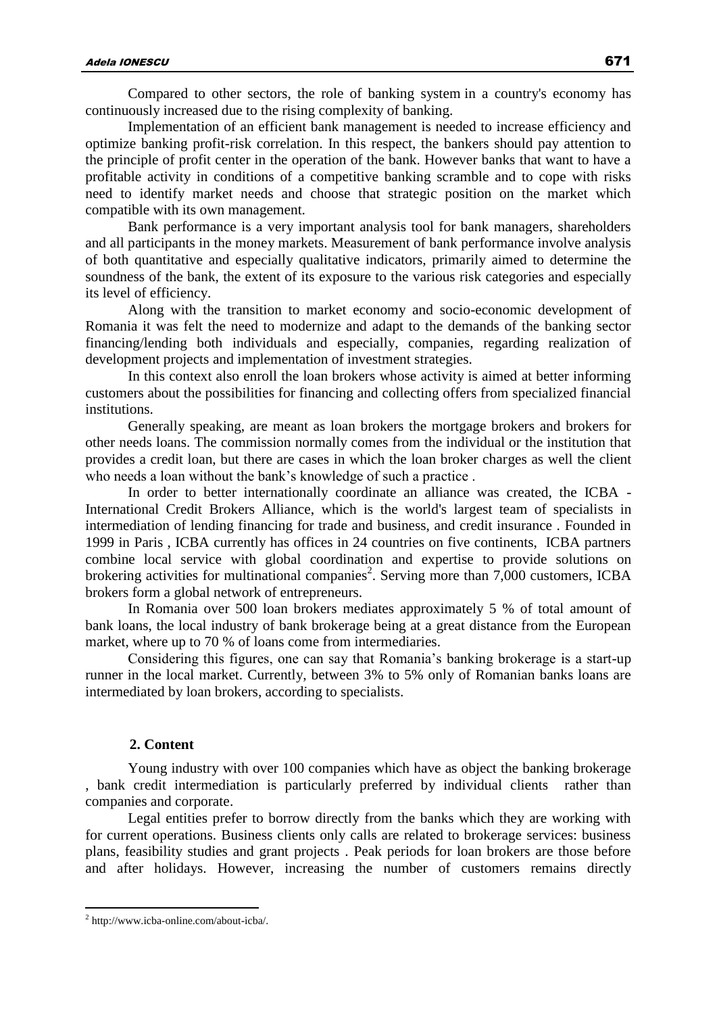Compared to other sectors, the role of banking system in a country's economy has continuously increased due to the rising complexity of banking.

Implementation of an efficient bank management is needed to increase efficiency and optimize banking profit-risk correlation. In this respect, the bankers should pay attention to the principle of profit center in the operation of the bank. However banks that want to have a profitable activity in conditions of a competitive banking scramble and to cope with risks need to identify market needs and choose that strategic position on the market which compatible with its own management.

Bank performance is a very important analysis tool for bank managers, shareholders and all participants in the money markets. Measurement of bank performance involve analysis of both quantitative and especially qualitative indicators, primarily aimed to determine the soundness of the bank, the extent of its exposure to the various risk categories and especially its level of efficiency.

Along with the transition to market economy and socio-economic development of Romania it was felt the need to modernize and adapt to the demands of the banking sector financing/lending both individuals and especially, companies, regarding realization of development projects and implementation of investment strategies.

In this context also enroll the loan brokers whose activity is aimed at better informing customers about the possibilities for financing and collecting offers from specialized financial institutions.

Generally speaking, are meant as loan brokers the mortgage brokers and brokers for other needs loans. The commission normally comes from the individual or the institution that provides a credit loan, but there are cases in which the loan broker charges as well the client who needs a loan without the bank's knowledge of such a practice .

In order to better internationally coordinate an alliance was created, the ICBA - International Credit Brokers Alliance, which is the world's largest team of specialists in intermediation of lending financing for trade and business, and credit insurance . Founded in 1999 in Paris , ICBA currently has offices in 24 countries on five continents, ICBA partners combine local service with global coordination and expertise to provide solutions on brokering activities for multinational companies<sup>2</sup>. Serving more than  $7,000$  customers, ICBA brokers form a global network of entrepreneurs.

In Romania over 500 loan brokers mediates approximately 5 % of total amount of bank loans, the local industry of bank brokerage being at a great distance from the European market, where up to 70 % of loans come from intermediaries.

Considering this figures, one can say that Romania's banking brokerage is a start-up runner in the local market. Currently, between 3% to 5% only of Romanian banks loans are intermediated by loan brokers, according to specialists.

## **2. Content**

Young industry with over 100 companies which have as object the banking brokerage , bank credit intermediation is particularly preferred by individual clients rather than companies and corporate.

Legal entities prefer to borrow directly from the banks which they are working with for current operations. Business clients only calls are related to brokerage services: business plans, feasibility studies and grant projects . Peak periods for loan brokers are those before and after holidays. However, increasing the number of customers remains directly

 $\overline{a}$ 

<sup>2</sup> http://www.icba-online.com/about-icba/.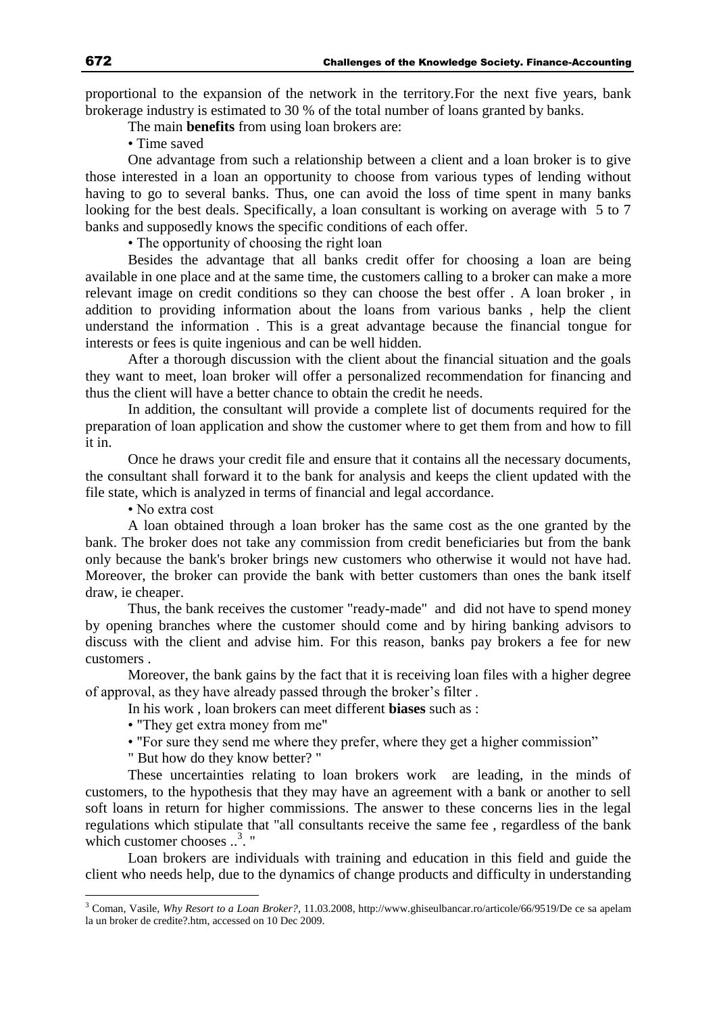proportional to the expansion of the network in the territory.For the next five years, bank brokerage industry is estimated to 30 % of the total number of loans granted by banks.

The main **benefits** from using loan brokers are:

• Time saved

One advantage from such a relationship between a client and a loan broker is to give those interested in a loan an opportunity to choose from various types of lending without having to go to several banks. Thus, one can avoid the loss of time spent in many banks looking for the best deals. Specifically, a loan consultant is working on average with 5 to 7 banks and supposedly knows the specific conditions of each offer.

• The opportunity of choosing the right loan

Besides the advantage that all banks credit offer for choosing a loan are being available in one place and at the same time, the customers calling to a broker can make a more relevant image on credit conditions so they can choose the best offer . A loan broker , in addition to providing information about the loans from various banks , help the client understand the information . This is a great advantage because the financial tongue for interests or fees is quite ingenious and can be well hidden.

After a thorough discussion with the client about the financial situation and the goals they want to meet, loan broker will offer a personalized recommendation for financing and thus the client will have a better chance to obtain the credit he needs.

In addition, the consultant will provide a complete list of documents required for the preparation of loan application and show the customer where to get them from and how to fill it in.

Once he draws your credit file and ensure that it contains all the necessary documents, the consultant shall forward it to the bank for analysis and keeps the client updated with the file state, which is analyzed in terms of financial and legal accordance.

• No extra cost

 $\overline{a}$ 

A loan obtained through a loan broker has the same cost as the one granted by the bank. The broker does not take any commission from credit beneficiaries but from the bank only because the bank's broker brings new customers who otherwise it would not have had. Moreover, the broker can provide the bank with better customers than ones the bank itself draw, ie cheaper.

Thus, the bank receives the customer "ready-made" and did not have to spend money by opening branches where the customer should come and by hiring banking advisors to discuss with the client and advise him. For this reason, banks pay brokers a fee for new customers .

Moreover, the bank gains by the fact that it is receiving loan files with a higher degree of approval, as they have already passed through the broker's filter .

In his work , loan brokers can meet different **biases** such as :

- "They get extra money from me"
- "For sure they send me where they prefer, where they get a higher commission"
- " But how do they know better? "

These uncertainties relating to loan brokers work are leading, in the minds of customers, to the hypothesis that they may have an agreement with a bank or another to sell soft loans in return for higher commissions. The answer to these concerns lies in the legal regulations which stipulate that "all consultants receive the same fee , regardless of the bank which customer chooses ..<sup>3</sup>. "

Loan brokers are individuals with training and education in this field and guide the client who needs help, due to the dynamics of change products and difficulty in understanding

<sup>3</sup> Coman, Vasile, *Why Resort to a Loan Broker?,* 11.03.2008, http://www.ghiseulbancar.ro/articole/66/9519/De ce sa apelam la un broker de credite?.htm, accessed on 10 Dec 2009.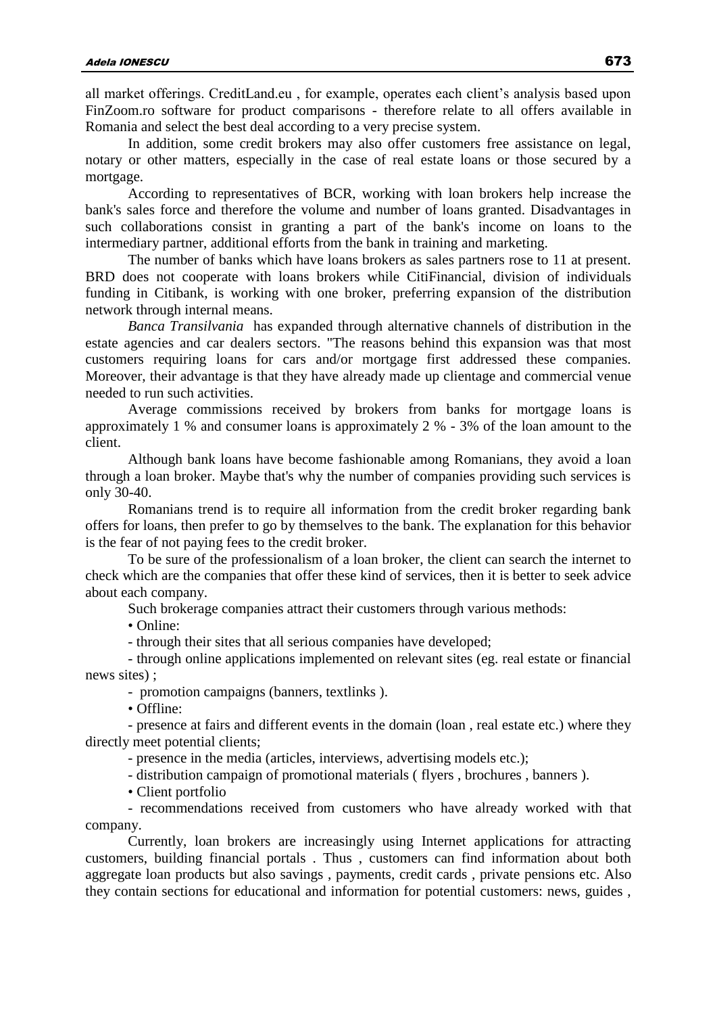all market offerings. CreditLand.eu , for example, operates each client's analysis based upon FinZoom.ro software for product comparisons - therefore relate to all offers available in Romania and select the best deal according to a very precise system.

In addition, some credit brokers may also offer customers free assistance on legal, notary or other matters, especially in the case of real estate loans or those secured by a mortgage.

According to representatives of BCR, working with loan brokers help increase the bank's sales force and therefore the volume and number of loans granted. Disadvantages in such collaborations consist in granting a part of the bank's income on loans to the intermediary partner, additional efforts from the bank in training and marketing.

The number of banks which have loans brokers as sales partners rose to 11 at present. BRD does not cooperate with loans brokers while CitiFinancial, division of individuals funding in Citibank, is working with one broker, preferring expansion of the distribution network through internal means.

*Banca Transilvania* has expanded through alternative channels of distribution in the estate agencies and car dealers sectors. "The reasons behind this expansion was that most customers requiring loans for cars and/or mortgage first addressed these companies. Moreover, their advantage is that they have already made up clientage and commercial venue needed to run such activities.

Average commissions received by brokers from banks for mortgage loans is approximately 1 % and consumer loans is approximately 2 % - 3% of the loan amount to the client.

Although bank loans have become fashionable among Romanians, they avoid a loan through a loan broker. Maybe that's why the number of companies providing such services is only 30-40.

Romanians trend is to require all information from the credit broker regarding bank offers for loans, then prefer to go by themselves to the bank. The explanation for this behavior is the fear of not paying fees to the credit broker.

To be sure of the professionalism of a loan broker, the client can search the internet to check which are the companies that offer these kind of services, then it is better to seek advice about each company.

Such brokerage companies attract their customers through various methods:

• Online:

- through their sites that all serious companies have developed;

- through online applications implemented on relevant sites (eg. real estate or financial news sites) ;

- promotion campaigns (banners, textlinks ).

• Offline:

- presence at fairs and different events in the domain (loan , real estate etc.) where they directly meet potential clients;

- presence in the media (articles, interviews, advertising models etc.);

- distribution campaign of promotional materials ( flyers , brochures , banners ).

• Client portfolio

- recommendations received from customers who have already worked with that company.

Currently, loan brokers are increasingly using Internet applications for attracting customers, building financial portals . Thus , customers can find information about both aggregate loan products but also savings , payments, credit cards , private pensions etc. Also they contain sections for educational and information for potential customers: news, guides ,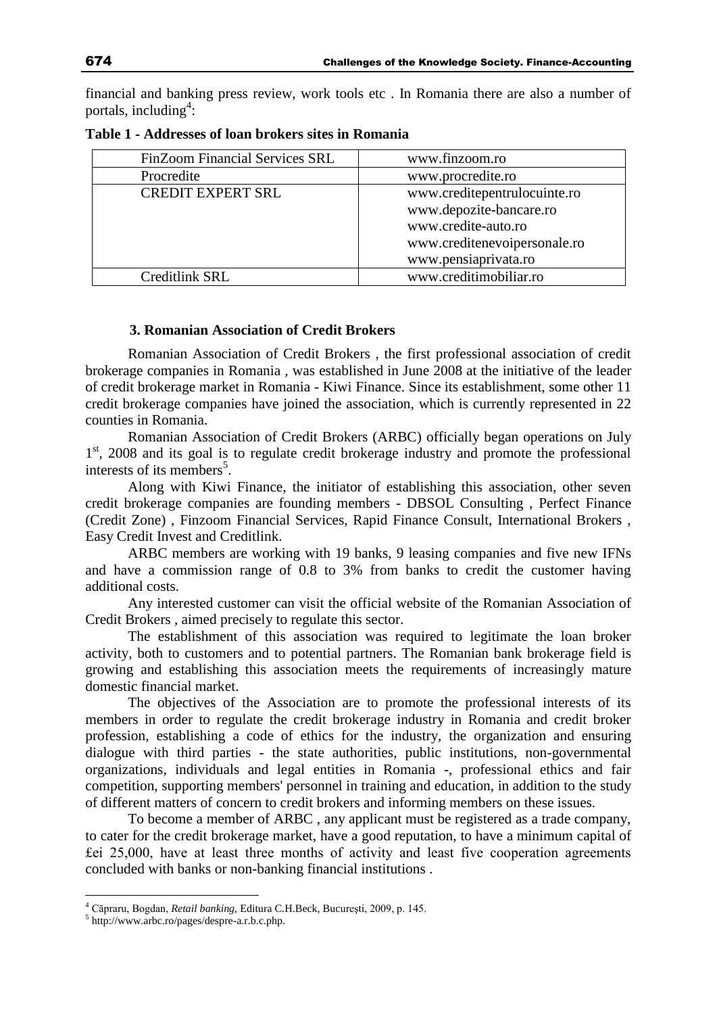financial and banking press review, work tools etc . In Romania there are also a number of portals, including<sup>4</sup>:

| FinZoom Financial Services SRL | www.finzoom.ro               |
|--------------------------------|------------------------------|
| Procredite                     | www.procredite.ro            |
| <b>CREDIT EXPERT SRL</b>       | www.creditepentrulocuinte.ro |
|                                | www.depozite-bancare.ro      |
|                                | www.credite-auto.ro          |
|                                | www.creditenevoipersonale.ro |
|                                | www.pensiaprivata.ro         |
| Creditlink SRL                 | www.creditimobiliar.ro       |

**Table 1 - Addresses of loan brokers sites in Romania**

### **3. Romanian Association of Credit Brokers**

Romanian Association of Credit Brokers , the first professional association of credit brokerage companies in Romania , was established in June 2008 at the initiative of the leader of credit brokerage market in Romania - Kiwi Finance. Since its establishment, some other 11 credit brokerage companies have joined the association, which is currently represented in 22 counties in Romania.

Romanian Association of Credit Brokers (ARBC) officially began operations on July 1<sup>st</sup>, 2008 and its goal is to regulate credit brokerage industry and promote the professional interests of its members<sup>5</sup>.

Along with Kiwi Finance, the initiator of establishing this association, other seven credit brokerage companies are founding members - DBSOL Consulting , Perfect Finance (Credit Zone) , Finzoom Financial Services, Rapid Finance Consult, International Brokers , Easy Credit Invest and Creditlink.

ARBC members are working with 19 banks, 9 leasing companies and five new IFNs and have a commission range of 0.8 to 3% from banks to credit the customer having additional costs.

Any interested customer can visit the official website of the Romanian Association of Credit Brokers , aimed precisely to regulate this sector.

The establishment of this association was required to legitimate the loan broker activity, both to customers and to potential partners. The Romanian bank brokerage field is growing and establishing this association meets the requirements of increasingly mature domestic financial market.

The objectives of the Association are to promote the professional interests of its members in order to regulate the credit brokerage industry in Romania and credit broker profession, establishing a code of ethics for the industry, the organization and ensuring dialogue with third parties - the state authorities, public institutions, non-governmental organizations, individuals and legal entities in Romania -, professional ethics and fair competition, supporting members' personnel in training and education, in addition to the study of different matters of concern to credit brokers and informing members on these issues.

To become a member of ARBC , any applicant must be registered as a trade company, to cater for the credit brokerage market, have a good reputation, to have a minimum capital of £ei 25,000, have at least three months of activity and least five cooperation agreements concluded with banks or non-banking financial institutions .

 $\overline{a}$ 

<sup>4</sup> Căpraru, Bogdan, *Retail banking*, Editura C.H.Beck, Bucureşti, 2009, p. 145.

<sup>5</sup> http://www.arbc.ro/pages/despre-a.r.b.c.php.